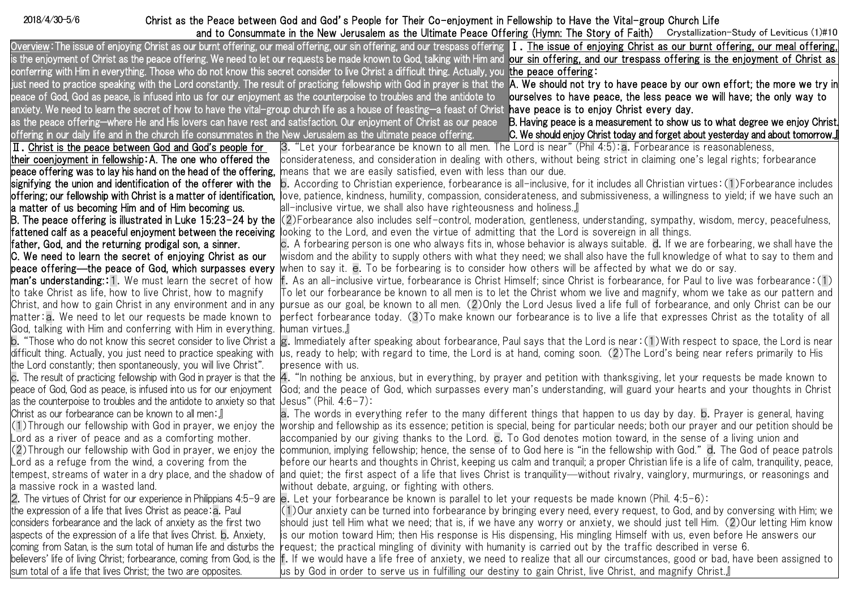2018/4/30-5/6

## Christ as the Peace between God and God's People for Their Co-enjoyment in Fellowship to Have the Vital-group Church Life

|                                                                                                                                                                   | and to Consummate in the New Jerusalem as the Ultimate Peace Offering (Hymn: The Story of Faith) Crystallization-Study of Leviticus (1)#10                                                                                                                  |  |
|-------------------------------------------------------------------------------------------------------------------------------------------------------------------|-------------------------------------------------------------------------------------------------------------------------------------------------------------------------------------------------------------------------------------------------------------|--|
|                                                                                                                                                                   | Overview: The issue of enjoying Christ as our burnt offering, our meal offering, our sin offering, and our trespass offering 1. The issue of enjoying Christ as our burnt offering, our meal offering,                                                      |  |
|                                                                                                                                                                   | is the enjoyment of Christ as the peace offering. We need to let our requests be made known to God, talking with Him and sour sin offering, and our trespass offering is the enjoyment of Christ as                                                         |  |
|                                                                                                                                                                   | conferring with Him in everything. Those who do not know this secret consider to live Christ a difficult thing. Actually, you the peace offering:                                                                                                           |  |
|                                                                                                                                                                   | just need to practice speaking with the Lord constantly. The result of practicing fellowship with God in prayer is that the <b>IA. We should not try to have peace by our own effort; the more we try in</b>                                                |  |
|                                                                                                                                                                   | peace of God, God as peace, is infused into us for our enjoyment as the counterpoise to troubles and the antidote to <b>courselves to have peace, the less peace we will have; the only way to</b>                                                          |  |
| anxiety. We need to learn the secret of how to have the vital-group church life as a house of feasting—a feast of Christ have peace is to enjoy Christ every day. |                                                                                                                                                                                                                                                             |  |
|                                                                                                                                                                   | as the peace offering—where He and His lovers can have rest and satisfaction. Our enjoyment of Christ as our peace <b>B. Having peace is a measurement to show us to what degree we enjoy Christ</b>                                                        |  |
| offering in our daily life and in the church life consummates in the New Jerusalem as the ultimate peace offering.                                                | C. We should enjoy Christ today and forget about yesterday and about tomorrow.                                                                                                                                                                              |  |
| II. Christ is the peace between God and God's people for                                                                                                          | 3. "Let your forbearance be known to all men. The Lord is near" (Phil 4:5): a. Forbearance is reasonableness,                                                                                                                                               |  |
| their coenjoyment in fellowship: A. The one who offered the                                                                                                       | considerateness, and consideration in dealing with others, without being strict in claiming one's legal rights; forbearance                                                                                                                                 |  |
| peace offering was to lay his hand on the head of the offering,                                                                                                   | means that we are easily satisfied, even with less than our due.                                                                                                                                                                                            |  |
| signifying the union and identification of the offerer with the                                                                                                   | b. According to Christian experience, forbearance is all-inclusive, for it includes all Christian virtues:(1)Forbearance includes                                                                                                                           |  |
| offering; our fellowship with Christ is a matter of identification,                                                                                               | love, patience, kindness, humility, compassion, considerateness, and submissiveness, a willingness to yield; if we have such an                                                                                                                             |  |
| a matter of us becoming Him and of Him becoming us.                                                                                                               | all-inclusive virtue, we shall also have righteousness and holiness.』                                                                                                                                                                                       |  |
| B. The peace offering is illustrated in Luke 15:23–24 by the                                                                                                      | (2)Forbearance also includes self-control, moderation, gentleness, understanding, sympathy, wisdom, mercy, peacefulness,                                                                                                                                    |  |
| fattened calf as a peaceful enjoyment between the receiving                                                                                                       | looking to the Lord, and even the virtue of admitting that the Lord is sovereign in all things.                                                                                                                                                             |  |
| father, God, and the returning prodigal son, a sinner.                                                                                                            | c. A forbearing person is one who always fits in, whose behavior is always suitable. d. If we are forbearing, we shall have the                                                                                                                             |  |
| C. We need to learn the secret of enjoying Christ as our                                                                                                          | wisdom and the ability to supply others with what they need; we shall also have the full knowledge of what to say to them and                                                                                                                               |  |
| peace offering—the peace of God, which surpasses every                                                                                                            | when to say it. e. To be forbearing is to consider how others will be affected by what we do or say.                                                                                                                                                        |  |
| <b>man's understanding: 1.</b> We must learn the secret of how                                                                                                    | [1] : If. As an all-inclusive virtue, forbearance is Christ Himself; since Christ is forbearance, for Paul to live was forbearance (1)                                                                                                                      |  |
| to take Christ as life, how to live Christ, how to magnify                                                                                                        | Γo let our forbearance be known to all men is to let the Christ whom we live and magnify, whom we take as our pattern and                                                                                                                                   |  |
| Christ, and how to gain Christ in any environment and in any                                                                                                      | pursue as our goal, be known to all men. (2) Only the Lord Jesus lived a life full of forbearance, and only Christ can be our<br>perfect forbearance today. (3)To make known our forbearance is to live a life that expresses Christ as the totality of all |  |
| matter:a. We need to let our requests be made known to<br>God, talking with Him and conferring with Him in everything.                                            | human virtues.』                                                                                                                                                                                                                                             |  |
|                                                                                                                                                                   | $\mathsf b$ . "Those who do not know this secret consider to live Christ a $\mathsf g$ . Immediately after speaking about forbearance, Paul says that the Lord is near: (1) With respect to space, the Lord is near                                         |  |
| difficult thing. Actually, you just need to practice speaking with                                                                                                | us, ready to help; with regard to time, the Lord is at hand, coming soon. (2)The Lord's being near refers primarily to His                                                                                                                                  |  |
| the Lord constantly; then spontaneously, you will live Christ".                                                                                                   | presence with us.                                                                                                                                                                                                                                           |  |
|                                                                                                                                                                   | c. The result of practicing fellowship with God in prayer is that the A. "In nothing be anxious, but in everything, by prayer and petition with thanksgiving, let your requests be made known to                                                            |  |
| peace of God, God as peace, is infused into us for our enjoyment                                                                                                  | God; and the peace of God, which surpasses every man's understanding, will guard your hearts and your thoughts in Christ                                                                                                                                    |  |
| as the counterpoise to troubles and the antidote to anxiety so that $\mu$ esus" (Phil. 4:6-7):                                                                    |                                                                                                                                                                                                                                                             |  |
| Christ as our forbearance can be known to all men∶』                                                                                                               | a. The words in everything refer to the many different things that happen to us day by day. b. Prayer is general, having                                                                                                                                    |  |
| (1)Through our fellowship with God in prayer, we enjoy the                                                                                                        | worship and fellowship as its essence; petition is special, being for particular needs; both our prayer and our petition should be                                                                                                                          |  |
| Lord as a river of peace and as a comforting mother.                                                                                                              | accompanied by our giving thanks to the Lord. c. To God denotes motion toward, in the sense of a living union and                                                                                                                                           |  |
| (2)Through our fellowship with God in prayer, we enjoy the                                                                                                        | communion, implying fellowship; hence, the sense of to God here is "in the fellowship with God." d. The God of peace patrols                                                                                                                                |  |
| Lord as a refuge from the wind, a covering from the $\,$                                                                                                          | before our hearts and thoughts in Christ, keeping us calm and tranquil; a proper Christian life is a life of calm, tranquility, peace,                                                                                                                      |  |
|                                                                                                                                                                   | tempest, streams of water in a dry place, and the shadow of  and quiet; the first aspect of a life that lives Christ is tranquility—without rivalry, vainglory, murmurings, or reasonings and                                                               |  |
| a massive rock in a wasted land.                                                                                                                                  | without debate, arguing, or fighting with others.                                                                                                                                                                                                           |  |
|                                                                                                                                                                   | 2. The virtues of Christ for our experience in Philippians 4:5-9 are <b>le.</b> Let your forbearance be known is parallel to let your requests be made known (Phil. 4:5-6):                                                                                 |  |
| the expression of a life that lives Christ as peace: a. Paul                                                                                                      | (1)Our anxiety can be turned into forbearance by bringing every need, every request, to God, and by conversing with Him; we                                                                                                                                 |  |
| considers forbearance and the lack of anxiety as the first two                                                                                                    | should just tell Him what we need; that is, if we have any worry or anxiety, we should just tell Him. (2)Our letting Him know                                                                                                                               |  |
| aspects of the expression of a life that lives Christ. <b>b.</b> Anxiety,                                                                                         | is our motion toward Him; then His response is His dispensing, His mingling Himself with us, even before He answers our                                                                                                                                     |  |
| coming from Satan, is the sum total of human life and disturbs the                                                                                                | request; the practical mingling of divinity with humanity is carried out by the traffic described in verse 6.                                                                                                                                               |  |
|                                                                                                                                                                   | believers' life of living Christ; forbearance, coming from God, is the If. If we would have a life free of anxiety, we need to realize that all our circumstances, good or bad, have been assigned to                                                       |  |
| sum total of a life that lives Christ; the two are opposites.                                                                                                     | us by God in order to serve us in fulfilling our destiny to gain Christ, live Christ, and magnify Christ.』                                                                                                                                                  |  |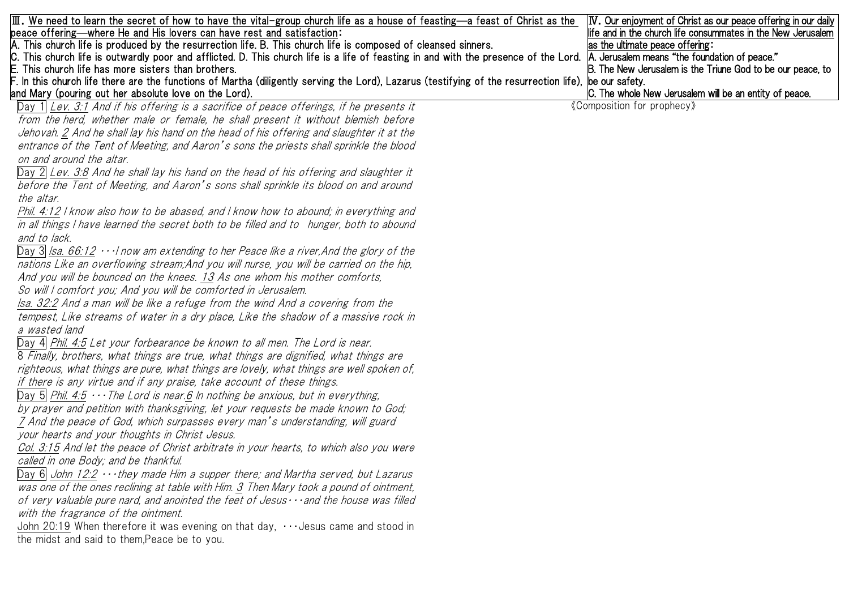| $\boxed{\rm I\!I\!I}$ . We need to learn the secret of how to have the vital-group church life as a house of feasting—a feast of Christ as the        | <b>IV.</b> Our enjoyment of Christ as our peace offering in our daily |
|-------------------------------------------------------------------------------------------------------------------------------------------------------|-----------------------------------------------------------------------|
| peace offering—where He and His lovers can have rest and satisfaction:                                                                                | life and in the church life consummates in the New Jerusalem          |
| A. This church life is produced by the resurrection life. B. This church life is composed of cleansed sinners.                                        | as the ultimate peace offering:                                       |
| C. This church life is outwardly poor and afflicted. D. This church life is a life of feasting in and with the presence of the Lord.                  | A. Jerusalem means "the foundation of peace."                         |
| E. This church life has more sisters than brothers.                                                                                                   | B. The New Jerusalem is the Triune God to be our peace, to            |
| F. In this church life there are the functions of Martha (diligently serving the Lord), Lazarus (testifying of the resurrection life), þe our safety. |                                                                       |
| and Mary (pouring out her absolute love on the Lord).                                                                                                 | C. The whole New Jerusalem will be an entity of peace.                |
| Day 1 Lev. 3:1 And if his offering is a sacrifice of peace offerings, if he presents it                                                               | «Composition for prophecy»                                            |
| from the herd, whether male or female, he shall present it without blemish before                                                                     |                                                                       |
| Jehovah. 2 And he shall lay his hand on the head of his offering and slaughter it at the                                                              |                                                                       |
| entrance of the Tent of Meeting, and Aaron's sons the priests shall sprinkle the blood                                                                |                                                                       |
| on and around the altar.                                                                                                                              |                                                                       |
| Day 2 Lev. 3:8 And he shall lay his hand on the head of his offering and slaughter it                                                                 |                                                                       |
| before the Tent of Meeting, and Aaron's sons shall sprinkle its blood on and around                                                                   |                                                                       |
| the altar.                                                                                                                                            |                                                                       |
| Phil. 4:12 I know also how to be abased, and I know how to abound; in everything and                                                                  |                                                                       |
| in all things I have learned the secret both to be filled and to hunger, both to abound                                                               |                                                                       |
| and to lack.                                                                                                                                          |                                                                       |
| Day 3 $\vert$ Isa. 66:12 $\cdots$ now am extending to her Peace like a river, And the glory of the                                                    |                                                                       |
| nations Like an overflowing stream; And you will nurse, you will be carried on the hip,                                                               |                                                                       |
| And you will be bounced on the knees. 13 As one whom his mother comforts,                                                                             |                                                                       |
| So will I comfort you; And you will be comforted in Jerusalem.                                                                                        |                                                                       |
| Isa. 32:2 And a man will be like a refuge from the wind And a covering from the                                                                       |                                                                       |
| tempest, Like streams of water in a dry place, Like the shadow of a massive rock in                                                                   |                                                                       |
| a wasted land                                                                                                                                         |                                                                       |
| Day 4 Phil. 4:5 Let your forbearance be known to all men. The Lord is near.                                                                           |                                                                       |
| 8 Finally, brothers, what things are true, what things are dignified, what things are                                                                 |                                                                       |
| righteous, what things are pure, what things are lovely, what things are well spoken of,                                                              |                                                                       |
|                                                                                                                                                       |                                                                       |
| if there is any virtue and if any praise, take account of these things.                                                                               |                                                                       |
| Day 5 Phil. 4:5 $\cdots$ The Lord is near 6 In nothing be anxious, but in everything,                                                                 |                                                                       |
| by prayer and petition with thanksgiving, let your requests be made known to God;                                                                     |                                                                       |
| 7 And the peace of God, which surpasses every man's understanding, will guard                                                                         |                                                                       |
| your hearts and your thoughts in Christ Jesus.                                                                                                        |                                                                       |
| Col. 3:15 And let the peace of Christ arbitrate in your hearts, to which also you were                                                                |                                                                       |
| called in one Body; and be thankful.                                                                                                                  |                                                                       |
| Day 6 $John$ 12:2 $\cdots$ they made Him a supper there; and Martha served, but Lazarus                                                               |                                                                       |
| was one of the ones reclining at table with Him. 3 Then Mary took a pound of ointment,                                                                |                                                                       |
| of very valuable pure nard, and anointed the feet of Jesus $\cdots$ and the house was filled                                                          |                                                                       |
| with the fragrance of the ointment.                                                                                                                   |                                                                       |
| John 20:19 When therefore it was evening on that day, $\cdots$ Jesus came and stood in                                                                |                                                                       |
| the midst and said to them, Peace be to you.                                                                                                          |                                                                       |
|                                                                                                                                                       |                                                                       |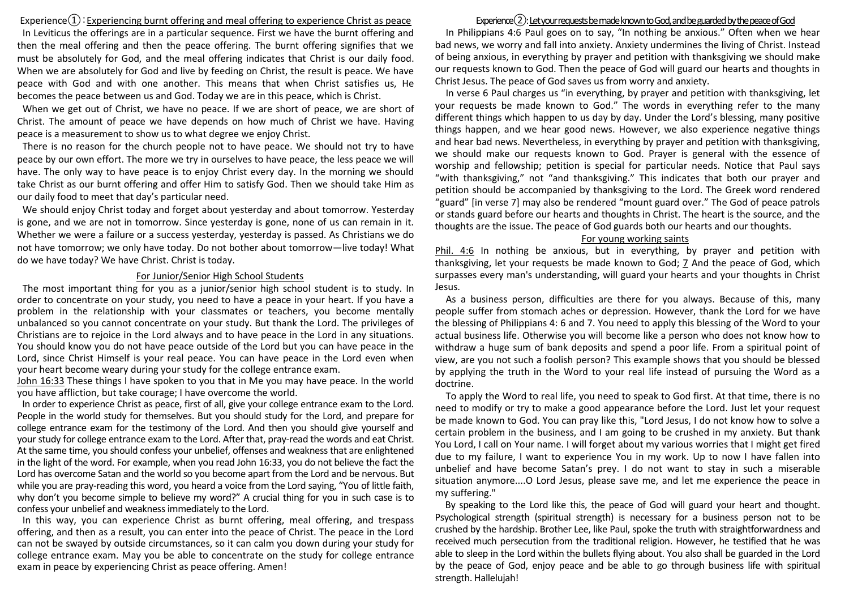$Experience(1)$ : Experiencing burnt offering and meal offering to experience Christ as peace In Leviticus the offerings are in a particular sequence. First we have the burnt offering and then the meal offering and then the peace offering. The burnt offering signifies that we must be absolutely for God, and the meal offering indicates that Christ is our daily food. When we are absolutely for God and live by feeding on Christ, the result is peace. We have peace with God and with one another. This means that when Christ satisfies us, He becomes the peace between us and God. Today we are in this peace, which is Christ.

When we get out of Christ, we have no peace. If we are short of peace, we are short of Christ. The amount of peace we have depends on how much of Christ we have. Having peace is a measurement to show us to what degree we enjoy Christ.

There is no reason for the church people not to have peace. We should not try to have peace by our own effort. The more we try in ourselves to have peace, the less peace we will have. The only way to have peace is to enjoy Christ every day. In the morning we should take Christ as our burnt offering and offer Him to satisfy God. Then we should take Him as our daily food to meet that day's particular need.

We should enjoy Christ today and forget about yesterday and about tomorrow. Yesterday is gone, and we are not in tomorrow. Since yesterday is gone, none of us can remain in it. Whether we were a failure or a success yesterday, yesterday is passed. As Christians we do not have tomorrow; we only have today. Do not bother about tomorrow—live today! What do we have today? We have Christ. Christ is today.

## For Junior/Senior High School Students

The most important thing for you as a junior/senior high school student is to study. In order to concentrate on your study, you need to have a peace in your heart. If you have a problem in the relationship with your classmates or teachers, you become mentally unbalanced so you cannot concentrate on your study. But thank the Lord. The privileges of Christians are to rejoice in the Lord always and to have peace in the Lord in any situations. You should know you do not have peace outside of the Lord but you can have peace in the Lord, since Christ Himself is your real peace. You can have peace in the Lord even when your heart become weary during your study for the college entrance exam.

John 16:33 These things I have spoken to you that in Me you may have peace. In the world you have affliction, but take courage; I have overcome the world.

In order to experience Christ as peace, first of all, give your college entrance exam to the Lord. People in the world study for themselves. But you should study for the Lord, and prepare for college entrance exam for the testimony of the Lord. And then you should give yourself and your study for college entrance exam to the Lord. After that, pray-read the words and eat Christ. At the same time, you should confess your unbelief, offenses and weakness that are enlightened in the light of the word. For example, when you read John 16:33, you do not believe the fact the Lord has overcome Satan and the world so you become apart from the Lord and be nervous. But while you are pray-reading this word, you heard a voice from the Lord saying, "You of little faith, why don't you become simple to believe my word?" A crucial thing for you in such case is to confess your unbelief and weakness immediately to the Lord.

In this way, you can experience Christ as burnt offering, meal offering, and trespass offering, and then as a result, you can enter into the peace of Christ. The peace in the Lord can not be swayed by outside circumstances, so it can calm you down during your study for college entrance exam. May you be able to concentrate on the study for college entrance exam in peace by experiencing Christ as peace offering. Amen!

## Experience $(2)$ : Let your requests be made known to God, and be guarded by the peace of God

In Philippians 4:6 Paul goes on to say, "In nothing be anxious." Often when we hear bad news, we worry and fall into anxiety. Anxiety undermines the living of Christ. Instead of being anxious, in everything by prayer and petition with thanksgiving we should make our requests known to God. Then the peace of God will guard our hearts and thoughts in Christ Jesus. The peace of God saves us from worry and anxiety.

In verse 6 Paul charges us "in everything, by prayer and petition with thanksgiving, let your requests be made known to God." The words in everything refer to the many different things which happen to us day by day. Under the Lord's blessing, many positive things happen, and we hear good news. However, we also experience negative things and hear bad news. Nevertheless, in everything by prayer and petition with thanksgiving, we should make our requests known to God. Prayer is general with the essence of worship and fellowship; petition is special for particular needs. Notice that Paul says "with thanksgiving," not "and thanksgiving." This indicates that both our prayer and petition should be accompanied by thanksgiving to the Lord. The Greek word rendered "guard" [in verse 7] may also be rendered "mount guard over." The God of peace patrols or stands guard before our hearts and thoughts in Christ. The heart is the source, and the thoughts are the issue. The peace of God guards both our hearts and our thoughts.

## For young working saints

Phil. 4:6 In nothing be anxious, but in everything, by prayer and petition with thanksgiving, let your requests be made known to God; 7 And the peace of God, which surpasses every man's understanding, will guard your hearts and your thoughts in Christ Jesus.

As a business person, difficulties are there for you always. Because of this, many people suffer from stomach aches or depression. However, thank the Lord for we have the blessing of Philippians 4: 6 and 7. You need to apply this blessing of the Word to your actual business life. Otherwise you will become like a person who does not know how to withdraw a huge sum of bank deposits and spend a poor life. From a spiritual point of view, are you not such a foolish person? This example shows that you should be blessed by applying the truth in the Word to your real life instead of pursuing the Word as a doctrine.

To apply the Word to real life, you need to speak to God first. At that time, there is no need to modify or try to make a good appearance before the Lord. Just let your request be made known to God. You can pray like this, "Lord Jesus, I do not know how to solve a certain problem in the business, and I am going to be crushed in my anxiety. But thank You Lord, I call on Your name. I will forget about my various worries that I might get fired due to my failure, I want to experience You in my work. Up to now I have fallen into unbelief and have become Satan's prey. I do not want to stay in such a miserable situation anymore....O Lord Jesus, please save me, and let me experience the peace in my suffering."

By speaking to the Lord like this, the peace of God will guard your heart and thought. Psychological strength (spiritual strength) is necessary for a business person not to be crushed by the hardship. Brother Lee, like Paul, spoke the truth with straightforwardness and received much persecution from the traditional religion. However, he testified that he was able to sleep in the Lord within the bullets flying about. You also shall be guarded in the Lord by the peace of God, enjoy peace and be able to go through business life with spiritual strength. Hallelujah!